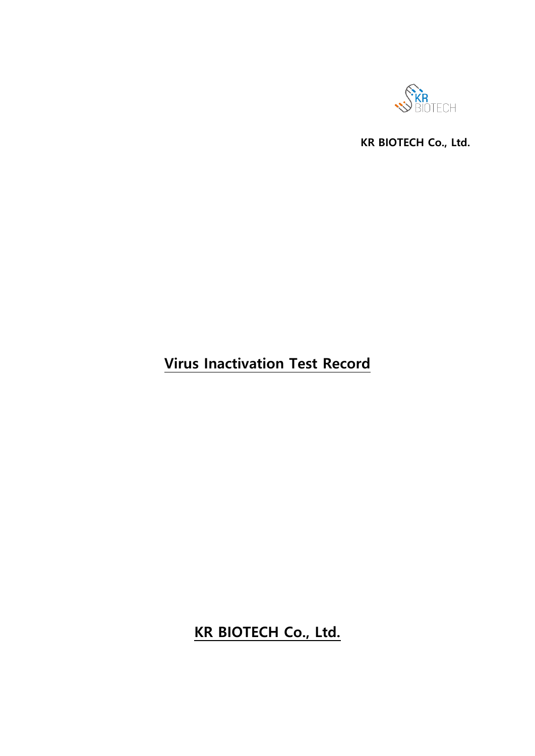

**KR BIOTECH Co., Ltd.**

# **Virus Inactivation Test Record**

# **KR BIOTECH Co., Ltd.**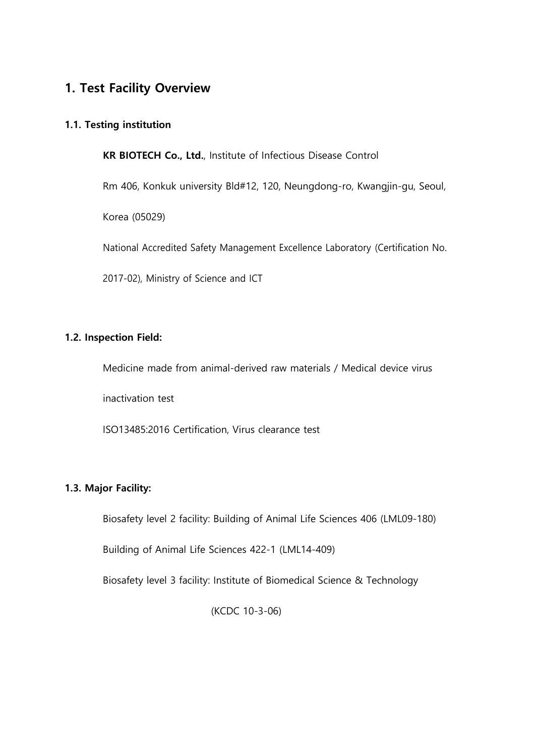### **1. Test Facility Overview**

### **1.1. Testing institution**

**KR BIOTECH Co., Ltd.**, Institute of Infectious Disease Control

Rm 406, Konkuk university Bld#12, 120, Neungdong-ro, Kwangjin-gu, Seoul,

Korea (05029)

National Accredited Safety Management Excellence Laboratory (Certification No.

2017-02), Ministry of Science and ICT

#### **1.2. Inspection Field:**

Medicine made from animal-derived raw materials / Medical device virus

inactivation test

ISO13485:2016 Certification, Virus clearance test

### **1.3. Major Facility:**

Biosafety level 2 facility: Building of Animal Life Sciences 406 (LML09-180)

Building of Animal Life Sciences 422-1 (LML14-409)

Biosafety level 3 facility: Institute of Biomedical Science & Technology

(KCDC 10-3-06)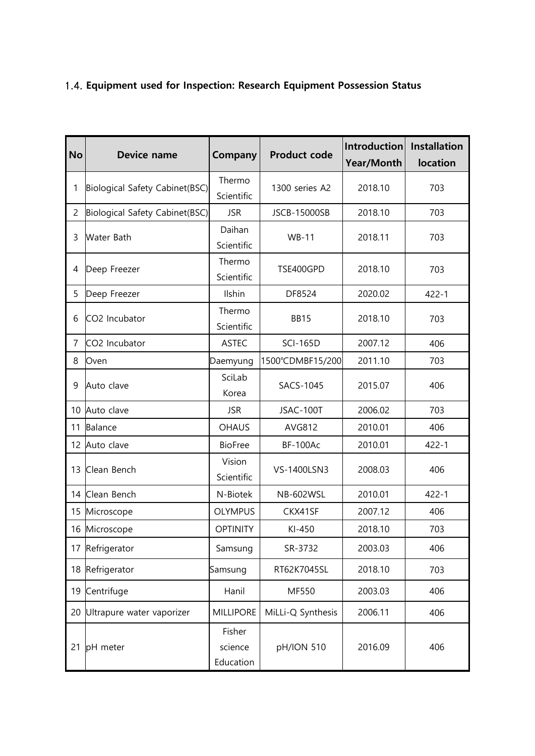### 1.4. **Equipment used for Inspection: Research Equipment Possession Status**

| <b>No</b>      | Device name                    | Company                        | <b>Product code</b> | Introduction<br><b>Year/Month</b> | <b>Installation</b><br><b>location</b> |
|----------------|--------------------------------|--------------------------------|---------------------|-----------------------------------|----------------------------------------|
| 1              | Biological Safety Cabinet(BSC) | Thermo<br>Scientific           | 1300 series A2      | 2018.10                           | 703                                    |
| $\overline{2}$ | Biological Safety Cabinet(BSC) | <b>JSR</b>                     | <b>JSCB-15000SB</b> | 2018.10                           | 703                                    |
| 3              | <b>Water Bath</b>              | Daihan<br>Scientific           | <b>WB-11</b>        | 2018.11                           | 703                                    |
| 4              | Deep Freezer                   | Thermo<br>Scientific           | TSE400GPD           | 2018.10                           | 703                                    |
| 5              | Deep Freezer                   | Ilshin                         | DF8524              | 2020.02                           | $422 - 1$                              |
| 6              | CO2 Incubator                  | Thermo<br>Scientific           | <b>BB15</b>         | 2018.10                           | 703                                    |
| 7              | CO2 Incubator                  | <b>ASTEC</b>                   | <b>SCI-165D</b>     | 2007.12                           | 406                                    |
| 8              | Oven                           | Daemyung                       | 1500°CDMBF15/200    | 2011.10                           | 703                                    |
| 9              | Auto clave                     | SciLab<br>Korea                | <b>SACS-1045</b>    | 2015.07                           | 406                                    |
| 10             | Auto clave                     | <b>JSR</b>                     | JSAC-100T           | 2006.02                           | 703                                    |
| 11             | <b>Balance</b>                 | <b>OHAUS</b>                   | AVG812              | 2010.01                           | 406                                    |
| 12             | Auto clave                     | <b>BioFree</b>                 | <b>BF-100Ac</b>     | 2010.01                           | $422 - 1$                              |
| 13             | Clean Bench                    | Vision<br>Scientific           | VS-1400LSN3         | 2008.03                           | 406                                    |
| 14             | Clean Bench                    | N-Biotek                       | <b>NB-602WSL</b>    | 2010.01                           | $422 - 1$                              |
| 15             | Microscope                     | <b>OLYMPUS</b>                 | CKX41SF             | 2007.12                           | 406                                    |
| 16             | Microscope                     | <b>OPTINITY</b>                | KI-450              | 2018.10                           | 703                                    |
| 17             | Refrigerator                   | Samsung                        | SR-3732             | 2003.03                           | 406                                    |
| 18             | Refrigerator                   | Samsung                        | RT62K7045SL         | 2018.10                           | 703                                    |
| 19             | Centrifuge                     | Hanil                          | MF550               | 2003.03                           | 406                                    |
| 20             | Ultrapure water vaporizer      | <b>MILLIPORE</b>               | MiLLi-Q Synthesis   | 2006.11                           | 406                                    |
| 21             | pH meter                       | Fisher<br>science<br>Education | pH/ION 510          | 2016.09                           | 406                                    |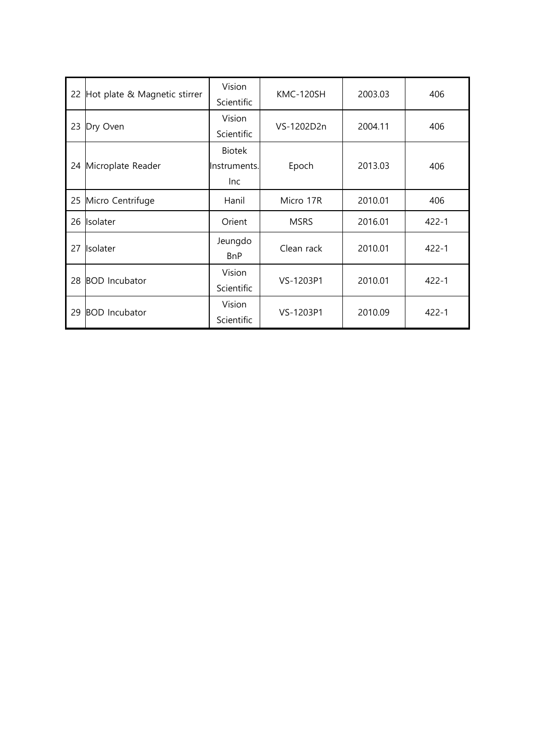| 22 | Hot plate & Magnetic stirrer | Vision<br>Scientific                 | KMC-120SH   | 2003.03 | 406       |
|----|------------------------------|--------------------------------------|-------------|---------|-----------|
| 23 | Dry Oven                     | Vision<br>Scientific                 | VS-1202D2n  | 2004.11 | 406       |
| 24 | Microplate Reader            | <b>Biotek</b><br>Instruments.<br>Inc | Epoch       | 2013.03 | 406       |
| 25 | Micro Centrifuge             | Hanil                                | Micro 17R   | 2010.01 | 406       |
| 26 | Isolater                     | Orient                               | <b>MSRS</b> | 2016.01 | $422 - 1$ |
| 27 | Isolater                     | Jeungdo<br><b>BnP</b>                | Clean rack  | 2010.01 | $422 - 1$ |
| 28 | <b>BOD</b> Incubator         | Vision<br>Scientific                 | VS-1203P1   | 2010.01 | $422 - 1$ |
| 29 | <b>BOD</b> Incubator         | Vision<br>Scientific                 | VS-1203P1   | 2010.09 | $422 - 1$ |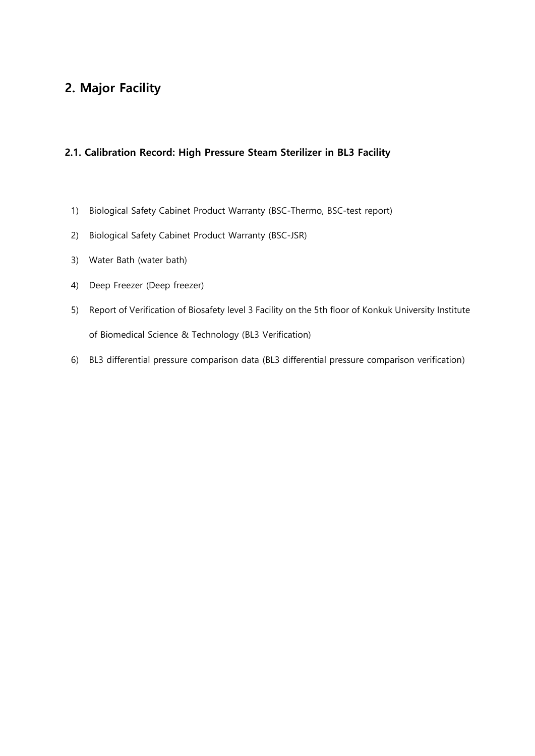## **2. Major Facility**

#### **2.1. Calibration Record: High Pressure Steam Sterilizer in BL3 Facility**

- 1) Biological Safety Cabinet Product Warranty (BSC-Thermo, BSC-test report)
- 2) Biological Safety Cabinet Product Warranty (BSC-JSR)
- 3) Water Bath (water bath)
- 4) Deep Freezer (Deep freezer)
- 5) Report of Verification of Biosafety level 3 Facility on the 5th floor of Konkuk University Institute of Biomedical Science & Technology (BL3 Verification)
- 6) BL3 differential pressure comparison data (BL3 differential pressure comparison verification)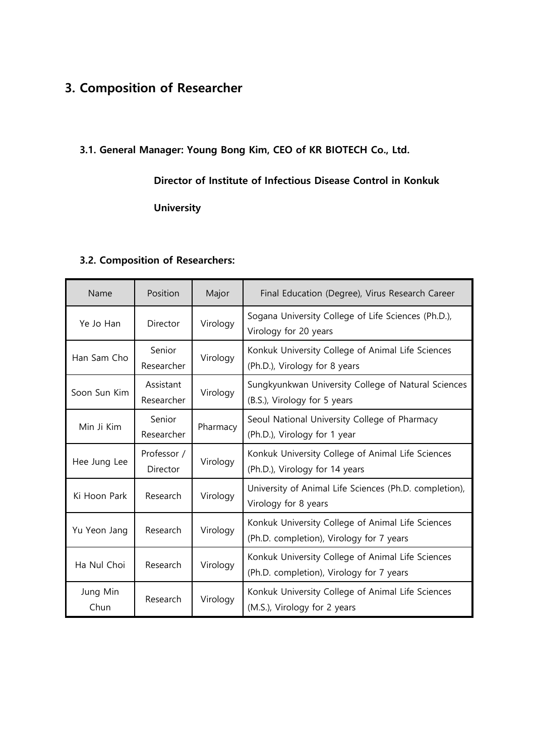## **3. Composition of Researcher**

### **3.1. General Manager: Young Bong Kim, CEO of KR BIOTECH Co., Ltd.**

### **Director of Institute of Infectious Disease Control in Konkuk**

**University**

### **3.2. Composition of Researchers:**

| Name             | Position                | Major    | Final Education (Degree), Virus Research Career                                               |
|------------------|-------------------------|----------|-----------------------------------------------------------------------------------------------|
| Ye Jo Han        | Director                | Virology | Sogana University College of Life Sciences (Ph.D.),<br>Virology for 20 years                  |
| Han Sam Cho      | Senior<br>Researcher    | Virology | Konkuk University College of Animal Life Sciences<br>(Ph.D.), Virology for 8 years            |
| Soon Sun Kim     | Assistant<br>Researcher | Virology | Sungkyunkwan University College of Natural Sciences<br>(B.S.), Virology for 5 years           |
| Min Ji Kim       | Senior<br>Researcher    | Pharmacy | Seoul National University College of Pharmacy<br>(Ph.D.), Virology for 1 year                 |
| Hee Jung Lee     | Professor /<br>Director | Virology | Konkuk University College of Animal Life Sciences<br>(Ph.D.), Virology for 14 years           |
| Ki Hoon Park     | Research                | Virology | University of Animal Life Sciences (Ph.D. completion),<br>Virology for 8 years                |
| Yu Yeon Jang     | Research                | Virology | Konkuk University College of Animal Life Sciences<br>(Ph.D. completion), Virology for 7 years |
| Ha Nul Choi      | Research                | Virology | Konkuk University College of Animal Life Sciences<br>(Ph.D. completion), Virology for 7 years |
| Jung Min<br>Chun | Research                | Virology | Konkuk University College of Animal Life Sciences<br>(M.S.), Virology for 2 years             |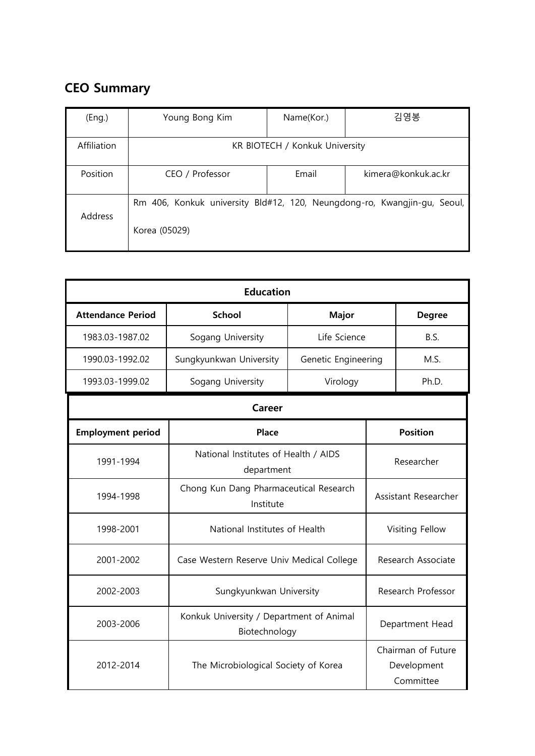# **CEO Summary**

| (Eng.)      | Young Bong Kim                                                                            | Name(Kor.) | 김영봉                 |
|-------------|-------------------------------------------------------------------------------------------|------------|---------------------|
| Affiliation | KR BIOTECH / Konkuk University                                                            |            |                     |
| Position    | CEO / Professor                                                                           | Email      | kimera@konkuk.ac.kr |
| Address     | Rm 406, Konkuk university Bld#12, 120, Neungdong-ro, Kwangjin-gu, Seoul,<br>Korea (05029) |            |                     |

| <b>Education</b>         |                                                           |                                        |            |                                                |
|--------------------------|-----------------------------------------------------------|----------------------------------------|------------|------------------------------------------------|
| <b>Attendance Period</b> | <b>School</b>                                             | <b>Major</b>                           |            | <b>Degree</b>                                  |
| 1983.03-1987.02          | Sogang University                                         | Life Science                           |            | B.S.                                           |
| 1990.03-1992.02          | Sungkyunkwan University                                   | Genetic Engineering                    |            | M.S.                                           |
| 1993.03-1999.02          | Sogang University                                         | Virology                               |            | Ph.D.                                          |
|                          | Career                                                    |                                        |            |                                                |
| <b>Employment period</b> | Place                                                     |                                        |            | <b>Position</b>                                |
| 1991-1994                | National Institutes of Health / AIDS<br>department        |                                        | Researcher |                                                |
| 1994-1998                | Institute                                                 | Chong Kun Dang Pharmaceutical Research |            | Assistant Researcher                           |
| 1998-2001                | National Institutes of Health                             |                                        |            | Visiting Fellow                                |
| 2001-2002                | Case Western Reserve Univ Medical College                 |                                        |            | Research Associate                             |
| 2002-2003                |                                                           | Sungkyunkwan University                |            | Research Professor                             |
| 2003-2006                | Konkuk University / Department of Animal<br>Biotechnology |                                        |            | Department Head                                |
| 2012-2014                | The Microbiological Society of Korea                      |                                        |            | Chairman of Future<br>Development<br>Committee |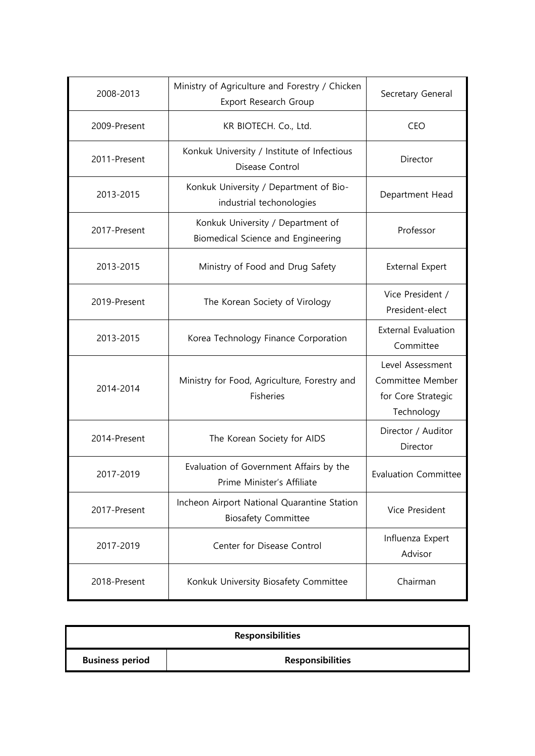| 2008-2013    | Ministry of Agriculture and Forestry / Chicken<br>Export Research Group   | Secretary General                                                        |
|--------------|---------------------------------------------------------------------------|--------------------------------------------------------------------------|
| 2009-Present | KR BIOTECH. Co., Ltd.                                                     | <b>CEO</b>                                                               |
| 2011-Present | Konkuk University / Institute of Infectious<br>Disease Control            | Director                                                                 |
| 2013-2015    | Konkuk University / Department of Bio-<br>industrial techonologies        | Department Head                                                          |
| 2017-Present | Konkuk University / Department of<br>Biomedical Science and Engineering   | Professor                                                                |
| 2013-2015    | Ministry of Food and Drug Safety                                          | <b>External Expert</b>                                                   |
| 2019-Present | The Korean Society of Virology                                            | Vice President /<br>President-elect                                      |
| 2013-2015    | Korea Technology Finance Corporation                                      | <b>External Evaluation</b><br>Committee                                  |
| 2014-2014    | Ministry for Food, Agriculture, Forestry and<br>Fisheries                 | Level Assessment<br>Committee Member<br>for Core Strategic<br>Technology |
| 2014-Present | The Korean Society for AIDS                                               | Director / Auditor<br>Director                                           |
| 2017-2019    | Evaluation of Government Affairs by the<br>Prime Minister's Affiliate     | <b>Evaluation Committee</b>                                              |
| 2017-Present | Incheon Airport National Quarantine Station<br><b>Biosafety Committee</b> | Vice President                                                           |
| 2017-2019    | Center for Disease Control                                                | Influenza Expert<br>Advisor                                              |
| 2018-Present | Konkuk University Biosafety Committee                                     | Chairman                                                                 |

| <b>Responsibilities</b> |                         |  |
|-------------------------|-------------------------|--|
| <b>Business period</b>  | <b>Responsibilities</b> |  |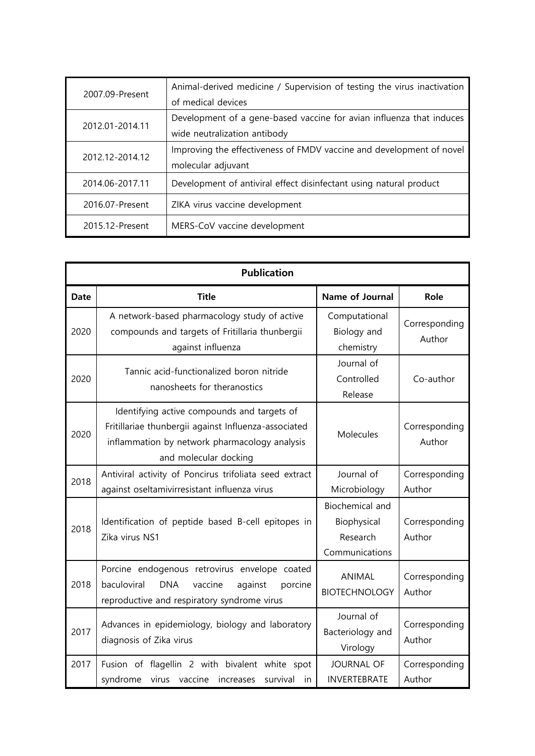| 2007.09-Present | Animal-derived medicine / Supervision of testing the virus inactivation |
|-----------------|-------------------------------------------------------------------------|
|                 | of medical devices                                                      |
| 2012.01-2014.11 | Development of a gene-based vaccine for avian influenza that induces    |
|                 | wide neutralization antibody                                            |
| 2012.12-2014.12 | Improving the effectiveness of FMDV vaccine and development of novel    |
|                 | molecular adjuvant                                                      |
| 2014.06-2017.11 | Development of antiviral effect disinfectant using natural product      |
| 2016.07-Present | ZIKA virus vaccine development                                          |
| 2015.12-Present | MERS-CoV vaccine development                                            |

| <b>Publication</b> |                                                                                                                                                                               |                                                              |                         |  |
|--------------------|-------------------------------------------------------------------------------------------------------------------------------------------------------------------------------|--------------------------------------------------------------|-------------------------|--|
| <b>Date</b>        | <b>Title</b>                                                                                                                                                                  | Name of Journal                                              | Role                    |  |
| 2020               | A network-based pharmacology study of active<br>compounds and targets of Fritillaria thunbergii<br>against influenza                                                          | Computational<br>Biology and<br>chemistry                    | Corresponding<br>Author |  |
| 2020               | Tannic acid-functionalized boron nitride<br>nanosheets for theranostics                                                                                                       | Journal of<br>Controlled<br>Release                          | Co-author               |  |
| 2020               | Identifying active compounds and targets of<br>Fritillariae thunbergii against Influenza-associated<br>inflammation by network pharmacology analysis<br>and molecular docking | Molecules                                                    | Corresponding<br>Author |  |
| 2018               | Antiviral activity of Poncirus trifoliata seed extract<br>against oseltamivirresistant influenza virus                                                                        | Journal of<br>Microbiology                                   | Corresponding<br>Author |  |
| 2018               | Identification of peptide based B-cell epitopes in<br>Zika virus NS1                                                                                                          | Biochemical and<br>Biophysical<br>Research<br>Communications | Corresponding<br>Author |  |
| 2018               | Porcine endogenous retrovirus envelope coated<br>baculoviral<br><b>DNA</b><br>vaccine<br>against<br>porcine<br>reproductive and respiratory syndrome virus                    | ANIMAL<br><b>BIOTECHNOLOGY</b>                               | Corresponding<br>Author |  |
| 2017               | Advances in epidemiology, biology and laboratory<br>diagnosis of Zika virus                                                                                                   | Journal of<br>Bacteriology and<br>Virology                   | Corresponding<br>Author |  |
| 2017               | Fusion of flagellin 2 with bivalent white spot<br>syndrome<br>virus vaccine<br>increases<br>survival<br>in                                                                    | <b>JOURNAL OF</b><br><b>INVERTEBRATE</b>                     | Corresponding<br>Author |  |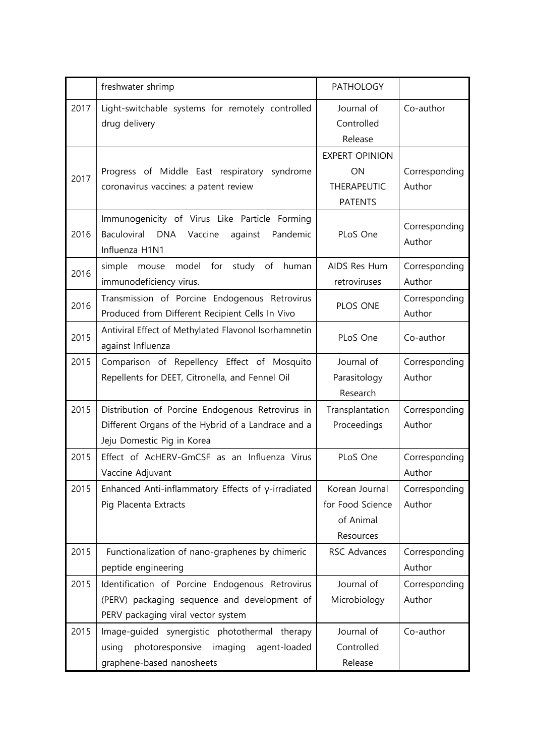|      | freshwater shrimp                                          | <b>PATHOLOGY</b>      |               |
|------|------------------------------------------------------------|-----------------------|---------------|
| 2017 | Light-switchable systems for remotely controlled           | Journal of            | Co-author     |
|      | drug delivery                                              | Controlled            |               |
|      |                                                            | Release               |               |
|      |                                                            | <b>EXPERT OPINION</b> |               |
| 2017 | Progress of Middle East respiratory syndrome               | ON                    | Corresponding |
|      | coronavirus vaccines: a patent review                      | <b>THERAPEUTIC</b>    | Author        |
|      |                                                            | <b>PATENTS</b>        |               |
|      | Immunogenicity of Virus Like Particle Forming              |                       | Corresponding |
| 2016 | Baculoviral DNA<br>Pandemic<br>Vaccine<br>against          | PLoS One              | Author        |
|      | Influenza H1N1                                             |                       |               |
| 2016 | model for<br>simple mouse<br>study of<br>human             | AIDS Res Hum          | Corresponding |
|      | immunodeficiency virus.                                    | retroviruses          | Author        |
| 2016 | Transmission of Porcine Endogenous Retrovirus              | PLOS ONE              | Corresponding |
|      | Produced from Different Recipient Cells In Vivo            |                       | Author        |
| 2015 | Antiviral Effect of Methylated Flavonol Isorhamnetin       | PLoS One              | Co-author     |
|      | against Influenza                                          |                       |               |
| 2015 | Comparison of Repellency Effect of Mosquito                | Journal of            | Corresponding |
|      | Repellents for DEET, Citronella, and Fennel Oil            | Parasitology          | Author        |
|      |                                                            | Research              |               |
| 2015 | Distribution of Porcine Endogenous Retrovirus in           | Transplantation       | Corresponding |
|      | Different Organs of the Hybrid of a Landrace and a         | Proceedings           | Author        |
|      | Jeju Domestic Pig in Korea                                 |                       |               |
| 2015 | Effect of AcHERV-GmCSF as an Influenza Virus               | PLoS One              | Corresponding |
|      | Vaccine Adjuvant                                           |                       | Author        |
| 2015 | Enhanced Anti-inflammatory Effects of $\gamma$ -irradiated | Korean Journal        | Corresponding |
|      | Pig Placenta Extracts                                      | for Food Science      | Author        |
|      |                                                            | of Animal             |               |
|      |                                                            | Resources             |               |
| 2015 | Functionalization of nano-graphenes by chimeric            | RSC Advances          | Corresponding |
|      | peptide engineering                                        |                       | Author        |
| 2015 | Identification of Porcine Endogenous Retrovirus            | Journal of            | Corresponding |
|      | (PERV) packaging sequence and development of               | Microbiology          | Author        |
|      | PERV packaging viral vector system                         |                       |               |
| 2015 | Image-guided synergistic photothermal therapy              | Journal of            | Co-author     |
|      | photoresponsive imaging<br>agent-loaded<br>using           | Controlled            |               |
|      | graphene-based nanosheets                                  | Release               |               |